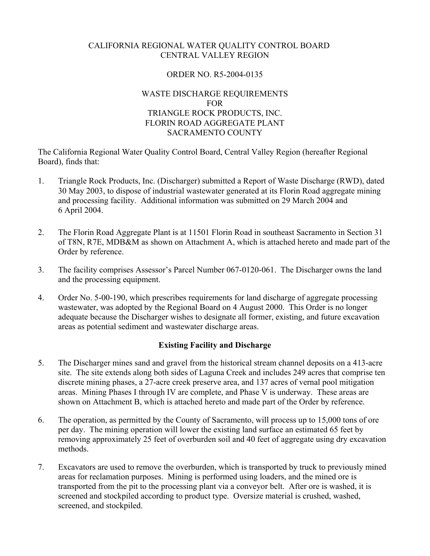### CALIFORNIA REGIONAL WATER QUALITY CONTROL BOARD CENTRAL VALLEY REGION

### ORDER NO. R5-2004-0135

### WASTE DISCHARGE REQUIREMENTS FOR TRIANGLE ROCK PRODUCTS, INC. FLORIN ROAD AGGREGATE PLANT SACRAMENTO COUNTY

The California Regional Water Quality Control Board, Central Valley Region (hereafter Regional Board), finds that:

- 1. Triangle Rock Products, Inc. (Discharger) submitted a Report of Waste Discharge (RWD), dated 30 May 2003, to dispose of industrial wastewater generated at its Florin Road aggregate mining and processing facility. Additional information was submitted on 29 March 2004 and 6 April 2004.
- 2. The Florin Road Aggregate Plant is at 11501 Florin Road in southeast Sacramento in Section 31 of T8N, R7E, MDB&M as shown on Attachment A, which is attached hereto and made part of the Order by reference.
- 3. The facility comprises Assessor's Parcel Number 067-0120-061. The Discharger owns the land and the processing equipment.
- 4. Order No. 5-00-190, which prescribes requirements for land discharge of aggregate processing wastewater, was adopted by the Regional Board on 4 August 2000. This Order is no longer adequate because the Discharger wishes to designate all former, existing, and future excavation areas as potential sediment and wastewater discharge areas.

### **Existing Facility and Discharge**

- 5. The Discharger mines sand and gravel from the historical stream channel deposits on a 413-acre site. The site extends along both sides of Laguna Creek and includes 249 acres that comprise ten discrete mining phases, a 27-acre creek preserve area, and 137 acres of vernal pool mitigation areas. Mining Phases I through IV are complete, and Phase V is underway. These areas are shown on Attachment B, which is attached hereto and made part of the Order by reference.
- 6. The operation, as permitted by the County of Sacramento, will process up to 15,000 tons of ore per day. The mining operation will lower the existing land surface an estimated 65 feet by removing approximately 25 feet of overburden soil and 40 feet of aggregate using dry excavation methods.
- 7. Excavators are used to remove the overburden, which is transported by truck to previously mined areas for reclamation purposes. Mining is performed using loaders, and the mined ore is transported from the pit to the processing plant via a conveyor belt. After ore is washed, it is screened and stockpiled according to product type. Oversize material is crushed, washed, screened, and stockpiled.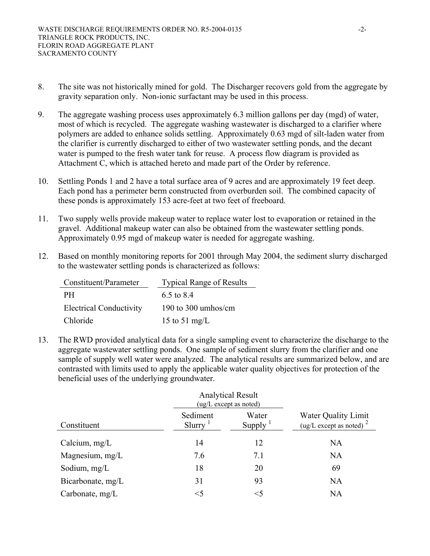- 8. The site was not historically mined for gold. The Discharger recovers gold from the aggregate by gravity separation only. Non-ionic surfactant may be used in this process.
- 9. The aggregate washing process uses approximately 6.3 million gallons per day (mgd) of water, most of which is recycled. The aggregate washing wastewater is discharged to a clarifier where polymers are added to enhance solids settling. Approximately 0.63 mgd of silt-laden water from the clarifier is currently discharged to either of two wastewater settling ponds, and the decant water is pumped to the fresh water tank for reuse. A process flow diagram is provided as Attachment C, which is attached hereto and made part of the Order by reference.
- 10. Settling Ponds 1 and 2 have a total surface area of 9 acres and are approximately 19 feet deep. Each pond has a perimeter berm constructed from overburden soil. The combined capacity of these ponds is approximately 153 acre-feet at two feet of freeboard.
- 11. Two supply wells provide makeup water to replace water lost to evaporation or retained in the gravel. Additional makeup water can also be obtained from the wastewater settling ponds. Approximately 0.95 mgd of makeup water is needed for aggregate washing.
- 12. Based on monthly monitoring reports for 2001 through May 2004, the sediment slurry discharged to the wastewater settling ponds is characterized as follows:

| Constituent/Parameter          | <b>Typical Range of Results</b> |
|--------------------------------|---------------------------------|
| PH.                            | 6.5 to 8.4                      |
| <b>Electrical Conductivity</b> | 190 to 300 umhos/cm             |
| Chloride                       | 15 to 51 mg/L                   |

13. The RWD provided analytical data for a single sampling event to characterize the discharge to the aggregate wastewater settling ponds. One sample of sediment slurry from the clarifier and one sample of supply well water were analyzed. The analytical results are summarized below, and are contrasted with limits used to apply the applicable water quality objectives for protection of the beneficial uses of the underlying groundwater.

|                   | <b>Analytical Result</b><br>(ug/L except as noted) |                               |                                                             |
|-------------------|----------------------------------------------------|-------------------------------|-------------------------------------------------------------|
| Constituent       | Sediment<br>$Slurry$ <sup>1</sup>                  | Water<br>Supply $\frac{1}{2}$ | <b>Water Quality Limit</b><br>(ug/L except as noted) $^{2}$ |
| Calcium, $mg/L$   | 14                                                 | 12                            | <b>NA</b>                                                   |
| Magnesium, mg/L   | 7.6                                                | 7.1                           | <b>NA</b>                                                   |
| Sodium, $mg/L$    | 18                                                 | 20                            | 69                                                          |
| Bicarbonate, mg/L | 31                                                 | 93                            | <b>NA</b>                                                   |
| Carbonate, $mg/L$ | $<$ 5                                              | $<$ 5                         | NA                                                          |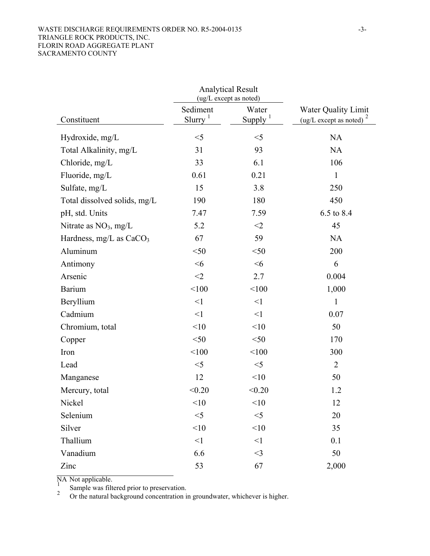#### WASTE DISCHARGE REQUIREMENTS ORDER NO. R5-2004-0135 -3-TRIANGLE ROCK PRODUCTS, INC. FLORIN ROAD AGGREGATE PLANT SACRAMENTO COUNTY

|                              |                                   | <b>Analytical Result</b><br>(ug/L except as noted) |                                                                    |  |
|------------------------------|-----------------------------------|----------------------------------------------------|--------------------------------------------------------------------|--|
| Constituent                  | Sediment<br>$Slurry$ <sup>1</sup> | Water<br>Supply $1$                                | <b>Water Quality Limit</b><br>(ug/L except as noted) $\frac{2}{3}$ |  |
| Hydroxide, mg/L              | $<$ 5                             | $<$ 5                                              | <b>NA</b>                                                          |  |
| Total Alkalinity, mg/L       | 31                                | 93                                                 | <b>NA</b>                                                          |  |
| Chloride, mg/L               | 33                                | 6.1                                                | 106                                                                |  |
| Fluoride, mg/L               | 0.61                              | 0.21                                               | 1                                                                  |  |
| Sulfate, mg/L                | 15                                | 3.8                                                | 250                                                                |  |
| Total dissolved solids, mg/L | 190                               | 180                                                | 450                                                                |  |
| pH, std. Units               | 7.47                              | 7.59                                               | 6.5 to 8.4                                                         |  |
| Nitrate as $NO3$ , mg/L      | 5.2                               | $<$ 2                                              | 45                                                                 |  |
| Hardness, mg/L as $CaCO3$    | 67                                | 59                                                 | <b>NA</b>                                                          |  |
| Aluminum                     | $<$ 50                            | $<$ 50                                             | 200                                                                |  |
| Antimony                     | $<$ 6                             | $<$ 6                                              | 6                                                                  |  |
| Arsenic                      | $<$ 2                             | 2.7                                                | 0.004                                                              |  |
| <b>Barium</b>                | < 100                             | < 100                                              | 1,000                                                              |  |
| Beryllium                    | $\leq$ 1                          | $\leq$ 1                                           | $\mathbf{1}$                                                       |  |
| Cadmium                      | $\leq$ 1                          | $\leq$ 1                                           | 0.07                                                               |  |
| Chromium, total              | <10                               | <10                                                | 50                                                                 |  |
| Copper                       | $<$ 50                            | $<$ 50                                             | 170                                                                |  |
| Iron                         | < 100                             | < 100                                              | 300                                                                |  |
| Lead                         | $<$ 5                             | $<$ 5                                              | $\overline{2}$                                                     |  |
| Manganese                    | 12                                | <10                                                | 50                                                                 |  |
| Mercury, total               | < 0.20                            | < 0.20                                             | 1.2                                                                |  |
| Nickel                       | <10                               | <10                                                | 12                                                                 |  |
| Selenium                     | $<$ 5                             | $<$ 5                                              | 20                                                                 |  |
| Silver                       | <10                               | <10                                                | 35                                                                 |  |
| Thallium                     | $\leq$ 1                          | $\leq$ 1                                           | 0.1                                                                |  |
| Vanadium                     | 6.6                               | $<$ 3                                              | 50                                                                 |  |
| Zinc                         | 53                                | 67                                                 | 2,000                                                              |  |

 $\frac{N}{N}$  Not applicable.<br>Sample was filtered prior to preservation.

2 Or the natural background concentration in groundwater, whichever is higher.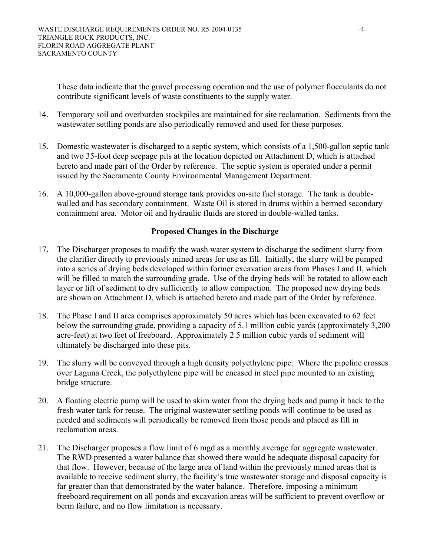These data indicate that the gravel processing operation and the use of polymer flocculants do not contribute significant levels of waste constituents to the supply water.

- 14. Temporary soil and overburden stockpiles are maintained for site reclamation. Sediments from the wastewater settling ponds are also periodically removed and used for these purposes.
- 15. Domestic wastewater is discharged to a septic system, which consists of a 1,500-gallon septic tank and two 35-foot deep seepage pits at the location depicted on Attachment D, which is attached hereto and made part of the Order by reference. The septic system is operated under a permit issued by the Sacramento County Environmental Management Department.
- 16. A 10,000-gallon above-ground storage tank provides on-site fuel storage. The tank is doublewalled and has secondary containment. Waste Oil is stored in drums within a bermed secondary containment area. Motor oil and hydraulic fluids are stored in double-walled tanks.

## **Proposed Changes in the Discharge**

- 17. The Discharger proposes to modify the wash water system to discharge the sediment slurry from the clarifier directly to previously mined areas for use as fill. Initially, the slurry will be pumped into a series of drying beds developed within former excavation areas from Phases I and II, which will be filled to match the surrounding grade. Use of the drying beds will be rotated to allow each layer or lift of sediment to dry sufficiently to allow compaction. The proposed new drying beds are shown on Attachment D, which is attached hereto and made part of the Order by reference.
- 18. The Phase I and II area comprises approximately 50 acres which has been excavated to 62 feet below the surrounding grade, providing a capacity of 5.1 million cubic yards (approximately 3,200 acre-feet) at two feet of freeboard. Approximately 2.5 million cubic yards of sediment will ultimately be discharged into these pits.
- 19. The slurry will be conveyed through a high density polyethylene pipe. Where the pipeline crosses over Laguna Creek, the polyethylene pipe will be encased in steel pipe mounted to an existing bridge structure.
- 20. A floating electric pump will be used to skim water from the drying beds and pump it back to the fresh water tank for reuse. The original wastewater settling ponds will continue to be used as needed and sediments will periodically be removed from those ponds and placed as fill in reclamation areas.
- 21. The Discharger proposes a flow limit of 6 mgd as a monthly average for aggregate wastewater. The RWD presented a water balance that showed there would be adequate disposal capacity for that flow. However, because of the large area of land within the previously mined areas that is available to receive sediment slurry, the facility's true wastewater storage and disposal capacity is far greater than that demonstrated by the water balance. Therefore, imposing a minimum freeboard requirement on all ponds and excavation areas will be sufficient to prevent overflow or berm failure, and no flow limitation is necessary.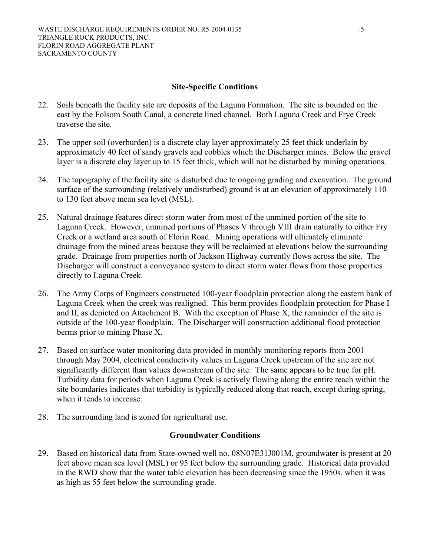#### **Site-Specific Conditions**

- 22. Soils beneath the facility site are deposits of the Laguna Formation. The site is bounded on the east by the Folsom South Canal, a concrete lined channel. Both Laguna Creek and Frye Creek traverse the site.
- 23. The upper soil (overburden) is a discrete clay layer approximately 25 feet thick underlain by approximately 40 feet of sandy gravels and cobbles which the Discharger mines. Below the gravel layer is a discrete clay layer up to 15 feet thick, which will not be disturbed by mining operations.
- 24. The topography of the facility site is disturbed due to ongoing grading and excavation. The ground surface of the surrounding (relatively undisturbed) ground is at an elevation of approximately 110 to 130 feet above mean sea level (MSL).
- 25. Natural drainage features direct storm water from most of the unmined portion of the site to Laguna Creek. However, unmined portions of Phases V through VIII drain naturally to either Fry Creek or a wetland area south of Florin Road. Mining operations will ultimately eliminate drainage from the mined areas because they will be reclaimed at elevations below the surrounding grade. Drainage from properties north of Jackson Highway currently flows across the site. The Discharger will construct a conveyance system to direct storm water flows from those properties directly to Laguna Creek.
- 26. The Army Corps of Engineers constructed 100-year floodplain protection along the eastern bank of Laguna Creek when the creek was realigned. This berm provides floodplain protection for Phase I and II, as depicted on Attachment B. With the exception of Phase X, the remainder of the site is outside of the 100-year floodplain. The Discharger will construction additional flood protection berms prior to mining Phase X.
- 27. Based on surface water monitoring data provided in monthly monitoring reports from 2001 through May 2004, electrical conductivity values in Laguna Creek upstream of the site are not significantly different than values downstream of the site. The same appears to be true for pH. Turbidity data for periods when Laguna Creek is actively flowing along the entire reach within the site boundaries indicates that turbidity is typically reduced along that reach, except during spring, when it tends to increase.
- 28. The surrounding land is zoned for agricultural use.

#### **Groundwater Conditions**

29. Based on historical data from State-owned well no. 08N07E31J001M, groundwater is present at 20 feet above mean sea level (MSL) or 95 feet below the surrounding grade. Historical data provided in the RWD show that the water table elevation has been decreasing since the 1950s, when it was as high as 55 feet below the surrounding grade.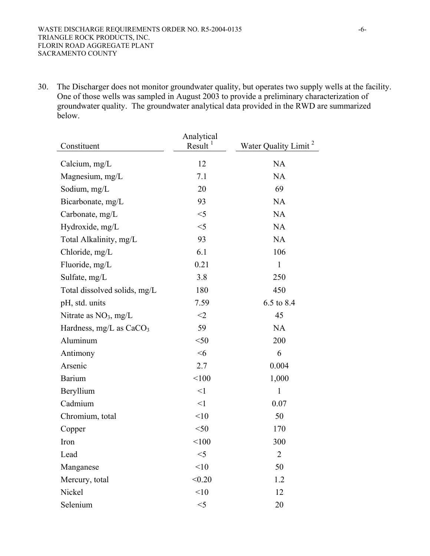30. The Discharger does not monitor groundwater quality, but operates two supply wells at the facility. One of those wells was sampled in August 2003 to provide a preliminary characterization of groundwater quality. The groundwater analytical data provided in the RWD are summarized below.

| Constituent                  | Analytical<br>Result | Water Quality Limit <sup>2</sup> |
|------------------------------|----------------------|----------------------------------|
| Calcium, $mg/L$              | 12                   | <b>NA</b>                        |
| Magnesium, mg/L              | 7.1                  | <b>NA</b>                        |
| Sodium, mg/L                 | 20                   | 69                               |
| Bicarbonate, mg/L            | 93                   | <b>NA</b>                        |
| Carbonate, mg/L              | $<$ 5                | <b>NA</b>                        |
| Hydroxide, mg/L              | $<$ 5                | <b>NA</b>                        |
| Total Alkalinity, mg/L       | 93                   | <b>NA</b>                        |
| Chloride, mg/L               | 6.1                  | 106                              |
| Fluoride, mg/L               | 0.21                 | $\mathbf{1}$                     |
| Sulfate, mg/L                | 3.8                  | 250                              |
| Total dissolved solids, mg/L | 180                  | 450                              |
| pH, std. units               | 7.59                 | 6.5 to 8.4                       |
| Nitrate as $NO3$ , mg/L      | $<$ 2                | 45                               |
| Hardness, mg/L as $CaCO3$    | 59                   | <b>NA</b>                        |
| Aluminum                     | $<$ 50               | 200                              |
| Antimony                     | $<$ 6                | 6                                |
| Arsenic                      | 2.7                  | 0.004                            |
| <b>Barium</b>                | < 100                | 1,000                            |
| Beryllium                    | $\leq$ 1             | $\mathbf{1}$                     |
| Cadmium                      | $\leq$ 1             | 0.07                             |
| Chromium, total              | <10                  | 50                               |
| Copper                       | $50$                 | 170                              |
| Iron                         | < 100                | 300                              |
| Lead                         | $<$ 5                | $\overline{2}$                   |
| Manganese                    | < 10                 | 50                               |
| Mercury, total               | < 0.20               | 1.2                              |
| Nickel                       | < 10                 | 12                               |
| Selenium                     | $<$ 5                | 20                               |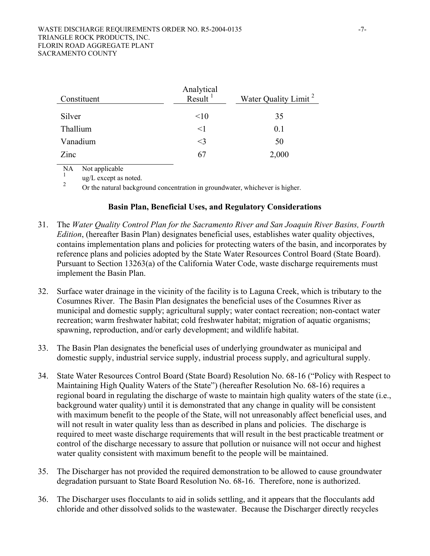| Constituent | Analytical<br>$Result$ <sup>1</sup> | Water Quality Limit <sup>2</sup> |
|-------------|-------------------------------------|----------------------------------|
| Silver      | <10                                 | 35                               |
| Thallium    | $\leq$ 1                            | 0.1                              |
| Vanadium    | $\leq$ 3                            | 50                               |
| Zinc        | 67                                  | 2,000                            |

NA Not applicable

 $\frac{1}{2}$  ug/L except as noted.

Or the natural background concentration in groundwater, whichever is higher.

#### **Basin Plan, Beneficial Uses, and Regulatory Considerations**

- 31. The *Water Quality Control Plan for the Sacramento River and San Joaquin River Basins, Fourth Edition*, (hereafter Basin Plan) designates beneficial uses, establishes water quality objectives, contains implementation plans and policies for protecting waters of the basin, and incorporates by reference plans and policies adopted by the State Water Resources Control Board (State Board). Pursuant to Section 13263(a) of the California Water Code, waste discharge requirements must implement the Basin Plan.
- 32. Surface water drainage in the vicinity of the facility is to Laguna Creek, which is tributary to the Cosumnes River. The Basin Plan designates the beneficial uses of the Cosumnes River as municipal and domestic supply; agricultural supply; water contact recreation; non-contact water recreation; warm freshwater habitat; cold freshwater habitat; migration of aquatic organisms; spawning, reproduction, and/or early development; and wildlife habitat.
- 33. The Basin Plan designates the beneficial uses of underlying groundwater as municipal and domestic supply, industrial service supply, industrial process supply, and agricultural supply.
- 34. State Water Resources Control Board (State Board) Resolution No. 68-16 ("Policy with Respect to Maintaining High Quality Waters of the State") (hereafter Resolution No. 68-16) requires a regional board in regulating the discharge of waste to maintain high quality waters of the state (i.e., background water quality) until it is demonstrated that any change in quality will be consistent with maximum benefit to the people of the State, will not unreasonably affect beneficial uses, and will not result in water quality less than as described in plans and policies. The discharge is required to meet waste discharge requirements that will result in the best practicable treatment or control of the discharge necessary to assure that pollution or nuisance will not occur and highest water quality consistent with maximum benefit to the people will be maintained.
- 35. The Discharger has not provided the required demonstration to be allowed to cause groundwater degradation pursuant to State Board Resolution No. 68-16. Therefore, none is authorized.
- 36. The Discharger uses flocculants to aid in solids settling, and it appears that the flocculants add chloride and other dissolved solids to the wastewater. Because the Discharger directly recycles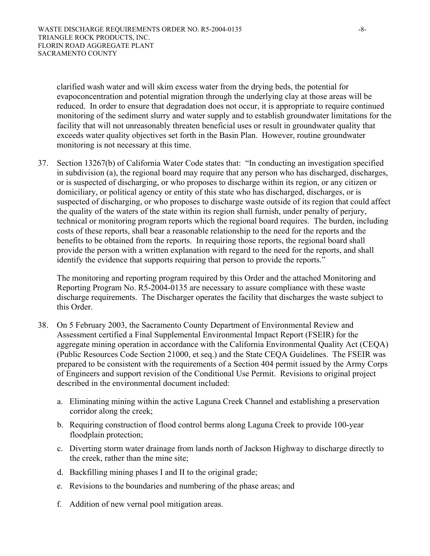clarified wash water and will skim excess water from the drying beds, the potential for evapoconcentration and potential migration through the underlying clay at those areas will be reduced. In order to ensure that degradation does not occur, it is appropriate to require continued monitoring of the sediment slurry and water supply and to establish groundwater limitations for the facility that will not unreasonably threaten beneficial uses or result in groundwater quality that exceeds water quality objectives set forth in the Basin Plan. However, routine groundwater monitoring is not necessary at this time.

37. Section 13267(b) of California Water Code states that: "In conducting an investigation specified in subdivision (a), the regional board may require that any person who has discharged, discharges, or is suspected of discharging, or who proposes to discharge within its region, or any citizen or domiciliary, or political agency or entity of this state who has discharged, discharges, or is suspected of discharging, or who proposes to discharge waste outside of its region that could affect the quality of the waters of the state within its region shall furnish, under penalty of perjury, technical or monitoring program reports which the regional board requires. The burden, including costs of these reports, shall bear a reasonable relationship to the need for the reports and the benefits to be obtained from the reports. In requiring those reports, the regional board shall provide the person with a written explanation with regard to the need for the reports, and shall identify the evidence that supports requiring that person to provide the reports."

The monitoring and reporting program required by this Order and the attached Monitoring and Reporting Program No. R5-2004-0135 are necessary to assure compliance with these waste discharge requirements. The Discharger operates the facility that discharges the waste subject to this Order.

- 38. On 5 February 2003, the Sacramento County Department of Environmental Review and Assessment certified a Final Supplemental Environmental Impact Report (FSEIR) for the aggregate mining operation in accordance with the California Environmental Quality Act (CEQA) (Public Resources Code Section 21000, et seq.) and the State CEQA Guidelines. The FSEIR was prepared to be consistent with the requirements of a Section 404 permit issued by the Army Corps of Engineers and support revision of the Conditional Use Permit. Revisions to original project described in the environmental document included:
	- a. Eliminating mining within the active Laguna Creek Channel and establishing a preservation corridor along the creek;
	- b. Requiring construction of flood control berms along Laguna Creek to provide 100-year floodplain protection;
	- c. Diverting storm water drainage from lands north of Jackson Highway to discharge directly to the creek, rather than the mine site;
	- d. Backfilling mining phases I and II to the original grade;
	- e. Revisions to the boundaries and numbering of the phase areas; and
	- f. Addition of new vernal pool mitigation areas.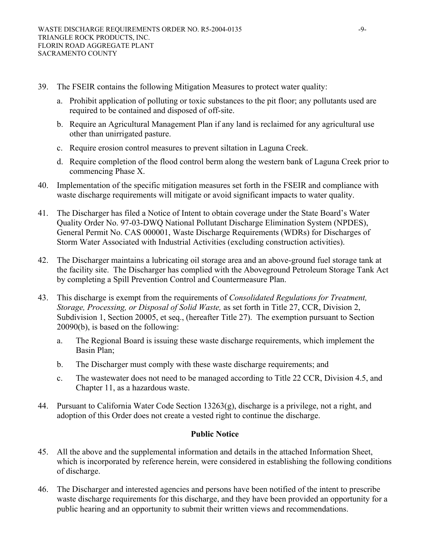- 39. The FSEIR contains the following Mitigation Measures to protect water quality:
	- a. Prohibit application of polluting or toxic substances to the pit floor; any pollutants used are required to be contained and disposed of off-site.
	- b. Require an Agricultural Management Plan if any land is reclaimed for any agricultural use other than unirrigated pasture.
	- c. Require erosion control measures to prevent siltation in Laguna Creek.
	- d. Require completion of the flood control berm along the western bank of Laguna Creek prior to commencing Phase X.
- 40. Implementation of the specific mitigation measures set forth in the FSEIR and compliance with waste discharge requirements will mitigate or avoid significant impacts to water quality.
- 41. The Discharger has filed a Notice of Intent to obtain coverage under the State Board's Water Quality Order No. 97-03-DWQ National Pollutant Discharge Elimination System (NPDES), General Permit No. CAS 000001, Waste Discharge Requirements (WDRs) for Discharges of Storm Water Associated with Industrial Activities (excluding construction activities).
- 42. The Discharger maintains a lubricating oil storage area and an above-ground fuel storage tank at the facility site. The Discharger has complied with the Aboveground Petroleum Storage Tank Act by completing a Spill Prevention Control and Countermeasure Plan.
- 43. This discharge is exempt from the requirements of *Consolidated Regulations for Treatment, Storage, Processing, or Disposal of Solid Waste,* as set forth in Title 27, CCR, Division 2, Subdivision 1, Section 20005, et seq., (hereafter Title 27). The exemption pursuant to Section 20090(b), is based on the following:
	- a. The Regional Board is issuing these waste discharge requirements, which implement the Basin Plan;
	- b. The Discharger must comply with these waste discharge requirements; and
	- c. The wastewater does not need to be managed according to Title 22 CCR, Division 4.5, and Chapter 11, as a hazardous waste.
- 44. Pursuant to California Water Code Section 13263(g), discharge is a privilege, not a right, and adoption of this Order does not create a vested right to continue the discharge.

## **Public Notice**

- 45. All the above and the supplemental information and details in the attached Information Sheet, which is incorporated by reference herein, were considered in establishing the following conditions of discharge.
- 46. The Discharger and interested agencies and persons have been notified of the intent to prescribe waste discharge requirements for this discharge, and they have been provided an opportunity for a public hearing and an opportunity to submit their written views and recommendations.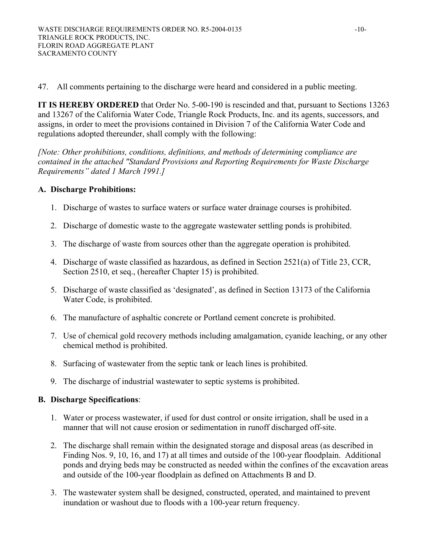47. All comments pertaining to the discharge were heard and considered in a public meeting.

**IT IS HEREBY ORDERED** that Order No. 5-00-190 is rescinded and that, pursuant to Sections 13263 and 13267 of the California Water Code, Triangle Rock Products, Inc. and its agents, successors, and assigns, in order to meet the provisions contained in Division 7 of the California Water Code and regulations adopted thereunder, shall comply with the following:

*[Note: Other prohibitions, conditions, definitions, and methods of determining compliance are contained in the attached "Standard Provisions and Reporting Requirements for Waste Discharge Requirements" dated 1 March 1991.]* 

### **A. Discharge Prohibitions:**

- 1. Discharge of wastes to surface waters or surface water drainage courses is prohibited.
- 2. Discharge of domestic waste to the aggregate wastewater settling ponds is prohibited.
- 3. The discharge of waste from sources other than the aggregate operation is prohibited.
- 4. Discharge of waste classified as hazardous, as defined in Section 2521(a) of Title 23, CCR, Section 2510, et seq., (hereafter Chapter 15) is prohibited.
- 5. Discharge of waste classified as 'designated', as defined in Section 13173 of the California Water Code, is prohibited.
- 6. The manufacture of asphaltic concrete or Portland cement concrete is prohibited.
- 7. Use of chemical gold recovery methods including amalgamation, cyanide leaching, or any other chemical method is prohibited.
- 8. Surfacing of wastewater from the septic tank or leach lines is prohibited.
- 9. The discharge of industrial wastewater to septic systems is prohibited.

### **B. Discharge Specifications**:

- 1. Water or process wastewater, if used for dust control or onsite irrigation, shall be used in a manner that will not cause erosion or sedimentation in runoff discharged off-site.
- 2. The discharge shall remain within the designated storage and disposal areas (as described in Finding Nos. 9, 10, 16, and 17) at all times and outside of the 100-year floodplain. Additional ponds and drying beds may be constructed as needed within the confines of the excavation areas and outside of the 100-year floodplain as defined on Attachments B and D.
- 3. The wastewater system shall be designed, constructed, operated, and maintained to prevent inundation or washout due to floods with a 100-year return frequency.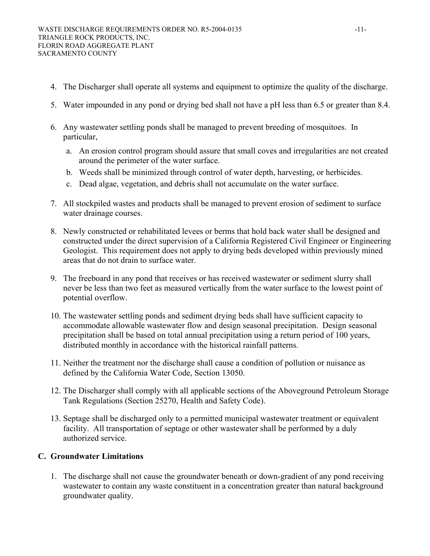- 4. The Discharger shall operate all systems and equipment to optimize the quality of the discharge.
- 5. Water impounded in any pond or drying bed shall not have a pH less than 6.5 or greater than 8.4.
- 6. Any wastewater settling ponds shall be managed to prevent breeding of mosquitoes. In particular,
	- a. An erosion control program should assure that small coves and irregularities are not created around the perimeter of the water surface.
	- b. Weeds shall be minimized through control of water depth, harvesting, or herbicides.
	- c. Dead algae, vegetation, and debris shall not accumulate on the water surface.
- 7. All stockpiled wastes and products shall be managed to prevent erosion of sediment to surface water drainage courses.
- 8. Newly constructed or rehabilitated levees or berms that hold back water shall be designed and constructed under the direct supervision of a California Registered Civil Engineer or Engineering Geologist. This requirement does not apply to drying beds developed within previously mined areas that do not drain to surface water.
- 9. The freeboard in any pond that receives or has received wastewater or sediment slurry shall never be less than two feet as measured vertically from the water surface to the lowest point of potential overflow.
- 10. The wastewater settling ponds and sediment drying beds shall have sufficient capacity to accommodate allowable wastewater flow and design seasonal precipitation. Design seasonal precipitation shall be based on total annual precipitation using a return period of 100 years, distributed monthly in accordance with the historical rainfall patterns.
- 11. Neither the treatment nor the discharge shall cause a condition of pollution or nuisance as defined by the California Water Code, Section 13050.
- 12. The Discharger shall comply with all applicable sections of the Aboveground Petroleum Storage Tank Regulations (Section 25270, Health and Safety Code).
- 13. Septage shall be discharged only to a permitted municipal wastewater treatment or equivalent facility. All transportation of septage or other wastewater shall be performed by a duly authorized service.

## **C. Groundwater Limitations**

1. The discharge shall not cause the groundwater beneath or down-gradient of any pond receiving wastewater to contain any waste constituent in a concentration greater than natural background groundwater quality.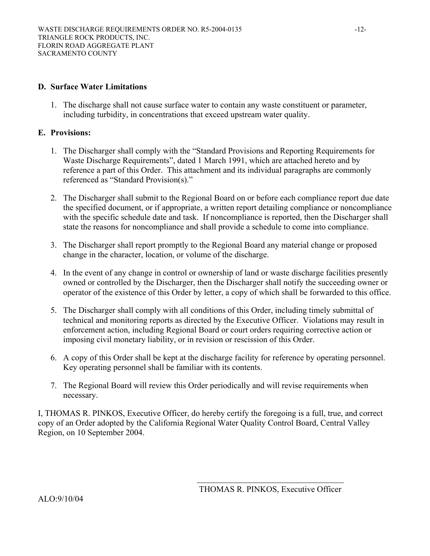#### **D. Surface Water Limitations**

1. The discharge shall not cause surface water to contain any waste constituent or parameter, including turbidity, in concentrations that exceed upstream water quality.

#### **E. Provisions:**

- 1. The Discharger shall comply with the "Standard Provisions and Reporting Requirements for Waste Discharge Requirements", dated 1 March 1991, which are attached hereto and by reference a part of this Order. This attachment and its individual paragraphs are commonly referenced as "Standard Provision(s)."
- 2. The Discharger shall submit to the Regional Board on or before each compliance report due date the specified document, or if appropriate, a written report detailing compliance or noncompliance with the specific schedule date and task. If noncompliance is reported, then the Discharger shall state the reasons for noncompliance and shall provide a schedule to come into compliance.
- 3. The Discharger shall report promptly to the Regional Board any material change or proposed change in the character, location, or volume of the discharge.
- 4. In the event of any change in control or ownership of land or waste discharge facilities presently owned or controlled by the Discharger, then the Discharger shall notify the succeeding owner or operator of the existence of this Order by letter, a copy of which shall be forwarded to this office.
- 5. The Discharger shall comply with all conditions of this Order, including timely submittal of technical and monitoring reports as directed by the Executive Officer. Violations may result in enforcement action, including Regional Board or court orders requiring corrective action or imposing civil monetary liability, or in revision or rescission of this Order.
- 6. A copy of this Order shall be kept at the discharge facility for reference by operating personnel. Key operating personnel shall be familiar with its contents.
- 7. The Regional Board will review this Order periodically and will revise requirements when necessary.

I, THOMAS R. PINKOS, Executive Officer, do hereby certify the foregoing is a full, true, and correct copy of an Order adopted by the California Regional Water Quality Control Board, Central Valley Region, on 10 September 2004.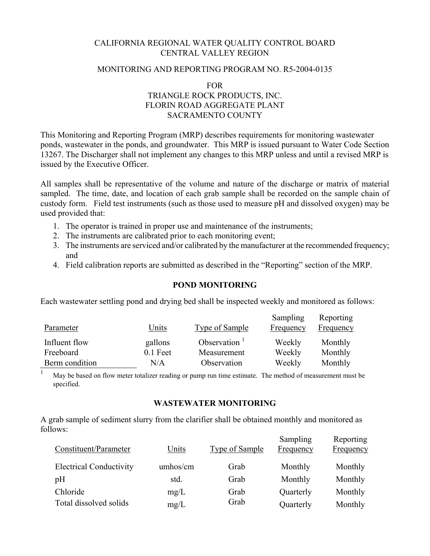# CALIFORNIA REGIONAL WATER QUALITY CONTROL BOARD CENTRAL VALLEY REGION

#### MONITORING AND REPORTING PROGRAM NO. R5-2004-0135

FOR

# TRIANGLE ROCK PRODUCTS, INC. FLORIN ROAD AGGREGATE PLANT SACRAMENTO COUNTY

This Monitoring and Reporting Program (MRP) describes requirements for monitoring wastewater ponds, wastewater in the ponds, and groundwater. This MRP is issued pursuant to Water Code Section 13267. The Discharger shall not implement any changes to this MRP unless and until a revised MRP is issued by the Executive Officer.

All samples shall be representative of the volume and nature of the discharge or matrix of material sampled. The time, date, and location of each grab sample shall be recorded on the sample chain of custody form. Field test instruments (such as those used to measure pH and dissolved oxygen) may be used provided that:

- 1. The operator is trained in proper use and maintenance of the instruments;
- 2. The instruments are calibrated prior to each monitoring event;
- 3. The instruments are serviced and/or calibrated by the manufacturer at the recommended frequency; and
- 4. Field calibration reports are submitted as described in the "Reporting" section of the MRP.

### **POND MONITORING**

Each wastewater settling pond and drying bed shall be inspected weekly and monitored as follows:

| Parameter      | Units      | <b>Type of Sample</b>    | Sampling<br><b>Frequency</b> | Reporting<br><b>Frequency</b> |
|----------------|------------|--------------------------|------------------------------|-------------------------------|
| Influent flow  | gallons    | Observation <sup>1</sup> | Weekly                       | Monthly                       |
| Freeboard      | $0.1$ Feet | Measurement              | Weekly                       | Monthly                       |
| Berm condition | N/A        | Observation              | Weekly                       | Monthly                       |

<sup>1</sup> May be based on flow meter totalizer reading or pump run time estimate. The method of measurement must be specified.

#### **WASTEWATER MONITORING**

A grab sample of sediment slurry from the clarifier shall be obtained monthly and monitored as follows:

| Constituent/Parameter          | Units    | <b>Type of Sample</b> | Sampling<br>Frequency | Reporting<br><b>Frequency</b> |
|--------------------------------|----------|-----------------------|-----------------------|-------------------------------|
| <b>Electrical Conductivity</b> | umhos/cm | Grab                  | Monthly               | Monthly                       |
| pH                             | std.     | Grab                  | Monthly               | Monthly                       |
| Chloride                       | mg/L     | Grab                  | Quarterly             | Monthly                       |
| Total dissolved solids         | mg/L     | Grab                  | Quarterly             | Monthly                       |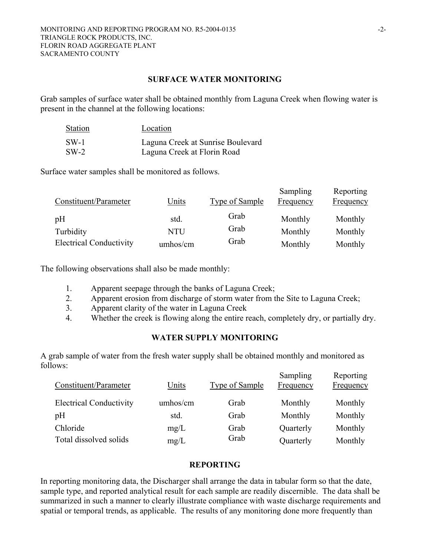#### **SURFACE WATER MONITORING**

Grab samples of surface water shall be obtained monthly from Laguna Creek when flowing water is present in the channel at the following locations:

| <b>Station</b> | Location                          |
|----------------|-----------------------------------|
| $SW-1$         | Laguna Creek at Sunrise Boulevard |
| $SW-2$         | Laguna Creek at Florin Road       |

Surface water samples shall be monitored as follows.

| Constituent/Parameter          | Units      | <b>Type of Sample</b> | Sampling<br>Frequency | Reporting<br><b>Frequency</b> |
|--------------------------------|------------|-----------------------|-----------------------|-------------------------------|
| pH                             | std.       | Grab                  | Monthly               | Monthly                       |
| Turbidity                      | <b>NTU</b> | Grab                  | Monthly               | Monthly                       |
| <b>Electrical Conductivity</b> | umhos/cm   | Grab                  | Monthly               | Monthly                       |

The following observations shall also be made monthly:

- 1. Apparent seepage through the banks of Laguna Creek;
- 2. Apparent erosion from discharge of storm water from the Site to Laguna Creek;
- 3. Apparent clarity of the water in Laguna Creek
- 4. Whether the creek is flowing along the entire reach, completely dry, or partially dry.

## **WATER SUPPLY MONITORING**

A grab sample of water from the fresh water supply shall be obtained monthly and monitored as follows:

| Constituent/Parameter          | Units    | <b>Type of Sample</b> | Sampling<br>Frequency | Reporting<br><b>Frequency</b> |
|--------------------------------|----------|-----------------------|-----------------------|-------------------------------|
| <b>Electrical Conductivity</b> | umhos/cm | Grab                  | Monthly               | Monthly                       |
| pH                             | std.     | Grab                  | Monthly               | Monthly                       |
| Chloride                       | mg/L     | Grab                  | Quarterly             | Monthly                       |
| Total dissolved solids         | mg/L     | Grab                  | Quarterly             | Monthly                       |

### **REPORTING**

In reporting monitoring data, the Discharger shall arrange the data in tabular form so that the date, sample type, and reported analytical result for each sample are readily discernible. The data shall be summarized in such a manner to clearly illustrate compliance with waste discharge requirements and spatial or temporal trends, as applicable. The results of any monitoring done more frequently than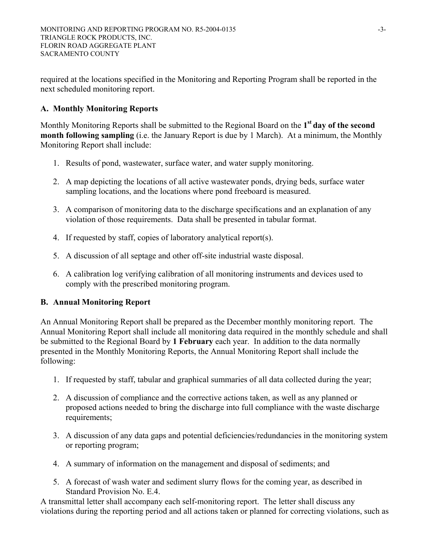required at the locations specified in the Monitoring and Reporting Program shall be reported in the next scheduled monitoring report.

# **A. Monthly Monitoring Reports**

Monthly Monitoring Reports shall be submitted to the Regional Board on the **1st day of the second month following sampling** (i.e. the January Report is due by 1 March). At a minimum, the Monthly Monitoring Report shall include:

- 1. Results of pond, wastewater, surface water, and water supply monitoring.
- 2. A map depicting the locations of all active wastewater ponds, drying beds, surface water sampling locations, and the locations where pond freeboard is measured.
- 3. A comparison of monitoring data to the discharge specifications and an explanation of any violation of those requirements. Data shall be presented in tabular format.
- 4. If requested by staff, copies of laboratory analytical report(s).
- 5. A discussion of all septage and other off-site industrial waste disposal.
- 6. A calibration log verifying calibration of all monitoring instruments and devices used to comply with the prescribed monitoring program.

## **B. Annual Monitoring Report**

An Annual Monitoring Report shall be prepared as the December monthly monitoring report. The Annual Monitoring Report shall include all monitoring data required in the monthly schedule and shall be submitted to the Regional Board by **1 February** each year. In addition to the data normally presented in the Monthly Monitoring Reports, the Annual Monitoring Report shall include the following:

- 1. If requested by staff, tabular and graphical summaries of all data collected during the year;
- 2. A discussion of compliance and the corrective actions taken, as well as any planned or proposed actions needed to bring the discharge into full compliance with the waste discharge requirements;
- 3. A discussion of any data gaps and potential deficiencies/redundancies in the monitoring system or reporting program;
- 4. A summary of information on the management and disposal of sediments; and
- 5. A forecast of wash water and sediment slurry flows for the coming year, as described in Standard Provision No. E.4.

A transmittal letter shall accompany each self-monitoring report. The letter shall discuss any violations during the reporting period and all actions taken or planned for correcting violations, such as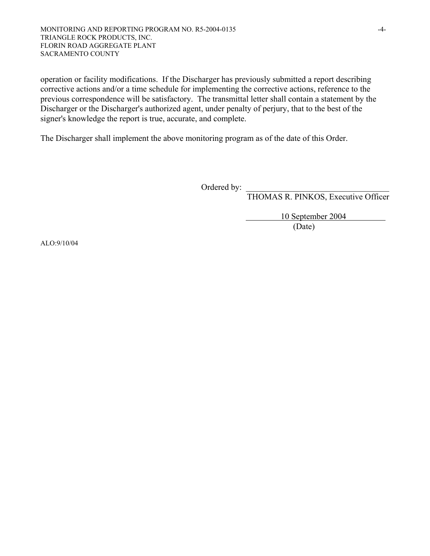operation or facility modifications. If the Discharger has previously submitted a report describing corrective actions and/or a time schedule for implementing the corrective actions, reference to the previous correspondence will be satisfactory. The transmittal letter shall contain a statement by the Discharger or the Discharger's authorized agent, under penalty of perjury, that to the best of the signer's knowledge the report is true, accurate, and complete.

The Discharger shall implement the above monitoring program as of the date of this Order.

Ordered by: \_\_\_\_\_\_\_\_\_\_\_\_\_\_\_\_\_\_\_\_\_\_\_\_\_\_\_\_\_\_\_\_\_\_

THOMAS R. PINKOS, Executive Officer

 10 September 2004 (Date)

ALO:9/10/04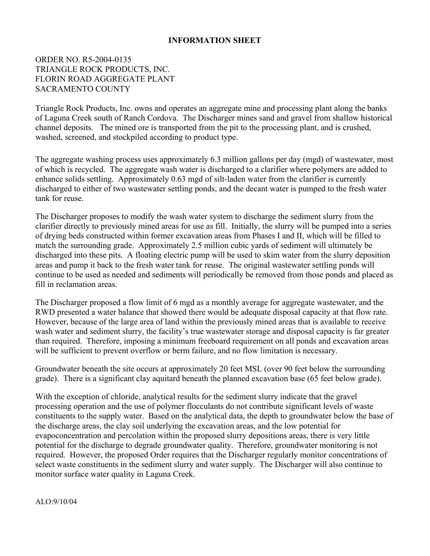### **INFORMATION SHEET**

## ORDER NO. R5-2004-0135 TRIANGLE ROCK PRODUCTS, INC. FLORIN ROAD AGGREGATE PLANT SACRAMENTO COUNTY

Triangle Rock Products, Inc. owns and operates an aggregate mine and processing plant along the banks of Laguna Creek south of Ranch Cordova. The Discharger mines sand and gravel from shallow historical channel deposits. The mined ore is transported from the pit to the processing plant, and is crushed, washed, screened, and stockpiled according to product type.

The aggregate washing process uses approximately 6.3 million gallons per day (mgd) of wastewater, most of which is recycled. The aggregate wash water is discharged to a clarifier where polymers are added to enhance solids settling. Approximately 0.63 mgd of silt-laden water from the clarifier is currently discharged to either of two wastewater settling ponds, and the decant water is pumped to the fresh water tank for reuse.

The Discharger proposes to modify the wash water system to discharge the sediment slurry from the clarifier directly to previously mined areas for use as fill. Initially, the slurry will be pumped into a series of drying beds constructed within former excavation areas from Phases I and II, which will be filled to match the surrounding grade. Approximately 2.5 million cubic yards of sediment will ultimately be discharged into these pits. A floating electric pump will be used to skim water from the slurry deposition areas and pump it back to the fresh water tank for reuse. The original wastewater settling ponds will continue to be used as needed and sediments will periodically be removed from those ponds and placed as fill in reclamation areas.

The Discharger proposed a flow limit of 6 mgd as a monthly average for aggregate wastewater, and the RWD presented a water balance that showed there would be adequate disposal capacity at that flow rate. However, because of the large area of land within the previously mined areas that is available to receive wash water and sediment slurry, the facility's true wastewater storage and disposal capacity is far greater than required. Therefore, imposing a minimum freeboard requirement on all ponds and excavation areas will be sufficient to prevent overflow or berm failure, and no flow limitation is necessary.

Groundwater beneath the site occurs at approximately 20 feet MSL (over 90 feet below the surrounding grade). There is a significant clay aquitard beneath the planned excavation base (65 feet below grade).

With the exception of chloride, analytical results for the sediment slurry indicate that the gravel processing operation and the use of polymer flocculants do not contribute significant levels of waste constituents to the supply water. Based on the analytical data, the depth to groundwater below the base of the discharge areas, the clay soil underlying the excavation areas, and the low potential for evapoconcentration and percolation within the proposed slurry depositions areas, there is very little potential for the discharge to degrade groundwater quality. Therefore, groundwater monitoring is not required. However, the proposed Order requires that the Discharger regularly monitor concentrations of select waste constituents in the sediment slurry and water supply. The Discharger will also continue to monitor surface water quality in Laguna Creek.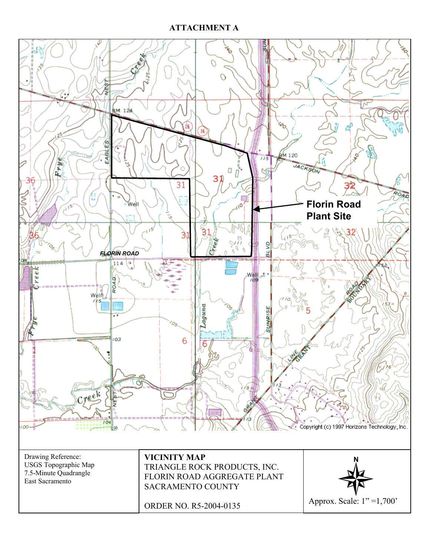# **ATTACHMENT A**

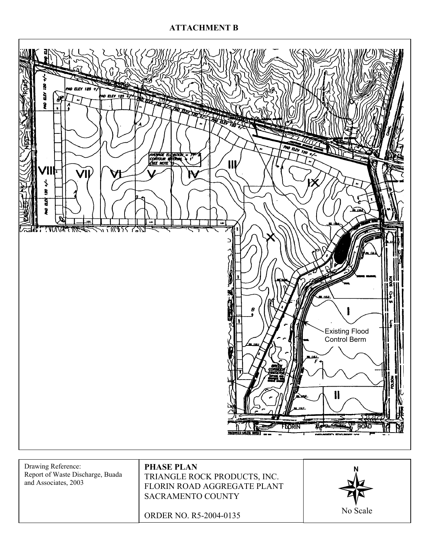# **ATTACHMENT B**



Report of Waste Discharge, Buada and Associates, 2003

TRIANGLE ROCK PRODUCTS, INC. FLORIN ROAD AGGREGATE PLANT SACRAMENTO COUNTY

ORDER NO. R5-2004-0135

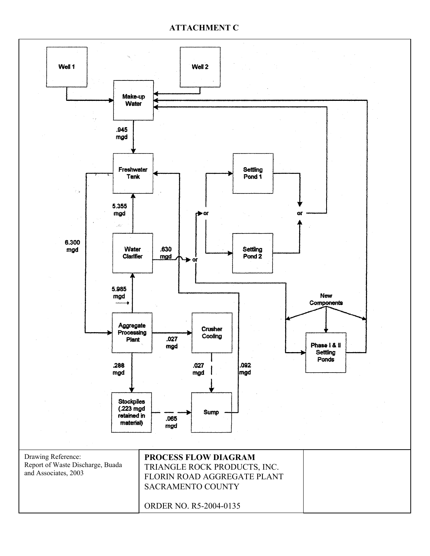### **ATTACHMENT C**